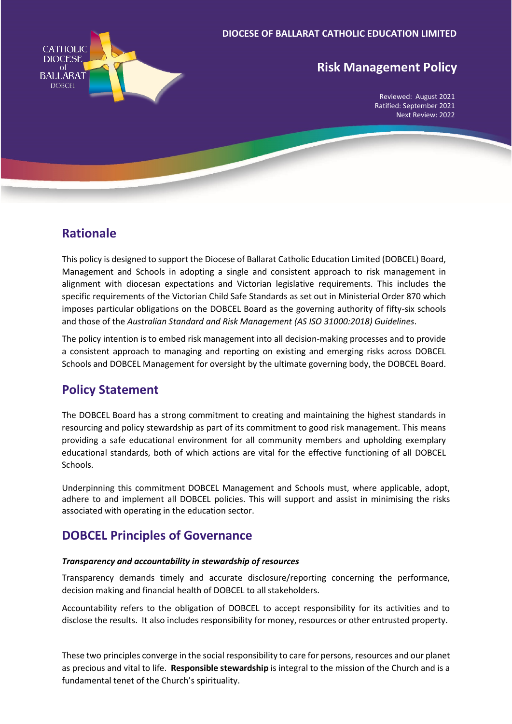

# **Risk Management Policy**

Reviewed: August 2021 Ratified: September 2021 Next Review: 2022

### **Rationale**

This policy is designed to support the Diocese of Ballarat Catholic Education Limited (DOBCEL) Board, Management and Schools in adopting a single and consistent approach to risk management in alignment with diocesan expectations and Victorian legislative requirements. This includes the specific requirements of the Victorian Child Safe Standards as set out in Ministerial Order 870 which imposes particular obligations on the DOBCEL Board as the governing authority of fifty-six schools and those of the *Australian Standard and Risk Management (AS ISO 31000:2018) Guidelines*.

The policy intention is to embed risk management into all decision-making processes and to provide a consistent approach to managing and reporting on existing and emerging risks across DOBCEL Schools and DOBCEL Management for oversight by the ultimate governing body, the DOBCEL Board.

## **Policy Statement**

The DOBCEL Board has a strong commitment to creating and maintaining the highest standards in resourcing and policy stewardship as part of its commitment to good risk management. This means providing a safe educational environment for all community members and upholding exemplary educational standards, both of which actions are vital for the effective functioning of all DOBCEL Schools.

Underpinning this commitment DOBCEL Management and Schools must, where applicable, adopt, adhere to and implement all DOBCEL policies. This will support and assist in minimising the risks associated with operating in the education sector.

# **DOBCEL Principles of Governance**

#### *Transparency and accountability in stewardship of resources*

Transparency demands timely and accurate disclosure/reporting concerning the performance, decision making and financial health of DOBCEL to all stakeholders.

Accountability refers to the obligation of DOBCEL to accept responsibility for its activities and to disclose the results. It also includes responsibility for money, resources or other entrusted property.

These two principles converge in the social responsibility to care for persons, resources and our planet as precious and vital to life. **Responsible stewardship** is integral to the mission of the Church and is a fundamental tenet of the Church's spirituality.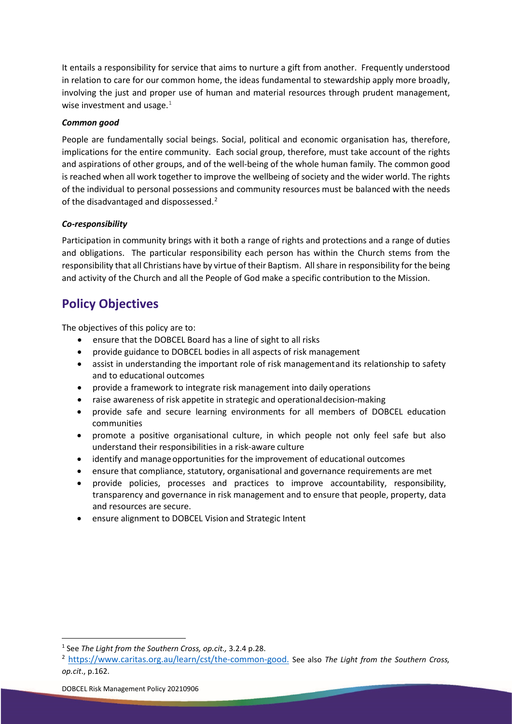It entails a responsibility for service that aims to nurture a gift from another. Frequently understood in relation to care for our common home, the ideas fundamental to stewardship apply more broadly, involving the just and proper use of human and material resources through prudent management, wise investment and usage. $1$ 

#### *Common good*

People are fundamentally social beings. Social, political and economic organisation has, therefore, implications for the entire community. Each social group, therefore, must take account of the rights and aspirations of other groups, and of the well-being of the whole human family. The common good is reached when all work together to improve the wellbeing of society and the wider world. The rights of the individual to personal possessions and community resources must be balanced with the needs of the disadvantaged and dispossessed.<sup>[2](#page-1-1)</sup>

#### *Co-responsibility*

Participation in community brings with it both a range of rights and protections and a range of duties and obligations. The particular responsibility each person has within the Church stems from the responsibility that all Christians have by virtue of their Baptism. All share in responsibility for the being and activity of the Church and all the People of God make a specific contribution to the Mission.

## **Policy Objectives**

The objectives of this policy are to:

- ensure that the DOBCEL Board has a line of sight to all risks
- provide guidance to DOBCEL bodies in all aspects of risk management
- assist in understanding the important role of risk managementand its relationship to safety and to educational outcomes
- provide a framework to integrate risk management into daily operations
- raise awareness of risk appetite in strategic and operationaldecision-making
- provide safe and secure learning environments for all members of DOBCEL education communities
- promote a positive organisational culture, in which people not only feel safe but also understand their responsibilities in a risk-aware culture
- identify and manage opportunities for the improvement of educational outcomes
- ensure that compliance, statutory, organisational and governance requirements are met
- provide policies, processes and practices to improve accountability, responsibility, transparency and governance in risk management and to ensure that people, property, data and resources are secure.
- ensure alignment to DOBCEL Vision and Strategic Intent

<span id="page-1-0"></span><sup>1</sup> See *The Light from the Southern Cross, op.cit.,* 3.2.4 p.28.

<span id="page-1-1"></span><sup>2</sup> [https://www.caritas.org.au/learn/cst/the-common-good.](https://www.caritas.org.au/learn/cst/the-common-good) See also *The Light from the Southern Cross, op.cit*., p.162.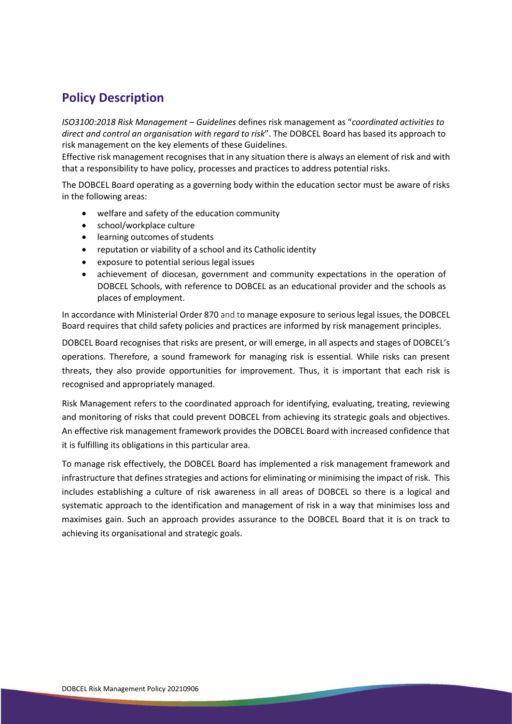# **Policy Description**

*ISO3100:2018 Risk Management – Guidelines* defines risk management as "*coordinated activities to direct and control an organisation with regard to risk*". The DOBCEL Board has based its approach to risk management on the key elements of these Guidelines.

Effective risk management recognises that in any situation there is always an element of risk and with that a responsibility to have policy, processes and practices to address potential risks.

The DOBCEL Board operating as a governing body within the education sector must be aware of risks in the following areas:

- welfare and safety of the education community
- school/workplace culture
- learning outcomes of students
- reputation or viability of a school and its Catholic identity
- exposure to potential serious legal issues
- achievement of diocesan, government and community expectations in the operation of DOBCEL Schools, with reference to DOBCEL as an educational provider and the schools as places of employment.

In accordance with Ministerial Order 870 and to manage exposure to serious legal issues, the DOBCEL Board requires that child safety policies and practices are informed by risk management principles.

DOBCEL Board recognises that risks are present, or will emerge, in all aspects and stages of DOBCEL's operations. Therefore, a sound framework for managing risk is essential. While risks can present threats, they also provide opportunities for improvement. Thus, it is important that each risk is recognised and appropriately managed.

Risk Management refers to the coordinated approach for identifying, evaluating, treating, reviewing and monitoring of risks that could prevent DOBCEL from achieving its strategic goals and objectives. An effective risk management framework provides the DOBCEL Board with increased confidence that it is fulfilling its obligations in this particular area.

To manage risk effectively, the DOBCEL Board has implemented a risk management framework and infrastructure that defines strategies and actions for eliminating or minimising the impact of risk. This includes establishing a culture of risk awareness in all areas of DOBCEL so there is a logical and systematic approach to the identification and management of risk in a way that minimises loss and maximises gain. Such an approach provides assurance to the DOBCEL Board that it is on track to achieving its organisational and strategic goals.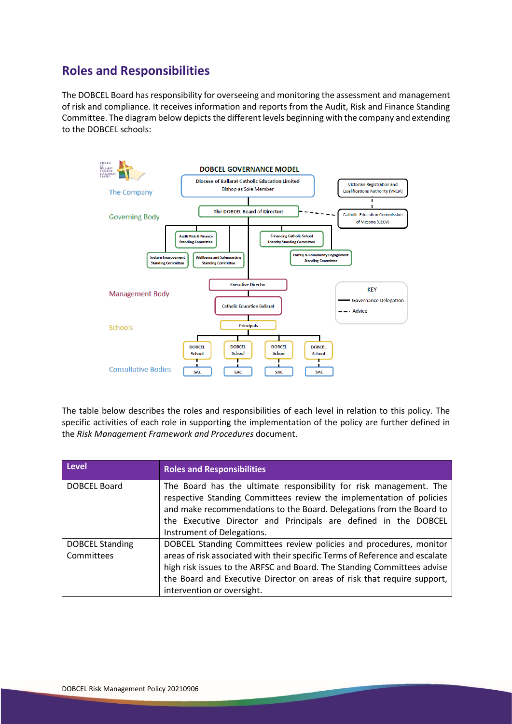## **Roles and Responsibilities**

The DOBCEL Board has responsibility for overseeing and monitoring the assessment and management of risk and compliance. It receives information and reports from the Audit, Risk and Finance Standing Committee. The diagram below depicts the different levels beginning with the company and extending to the DOBCEL schools:



The table below describes the roles and responsibilities of each level in relation to this policy. The specific activities of each role in supporting the implementation of the policy are further defined in the *Risk Management Framework and Procedures* document.

| <b>Level</b>                         | <b>Roles and Responsibilities</b>                                                                                                                                                                                                                                                                                                      |
|--------------------------------------|----------------------------------------------------------------------------------------------------------------------------------------------------------------------------------------------------------------------------------------------------------------------------------------------------------------------------------------|
| DOBCEL Board                         | The Board has the ultimate responsibility for risk management. The<br>respective Standing Committees review the implementation of policies<br>and make recommendations to the Board. Delegations from the Board to<br>the Executive Director and Principals are defined in the DOBCEL<br>Instrument of Delegations.                    |
| <b>DOBCEL Standing</b><br>Committees | DOBCEL Standing Committees review policies and procedures, monitor<br>areas of risk associated with their specific Terms of Reference and escalate<br>high risk issues to the ARFSC and Board. The Standing Committees advise<br>the Board and Executive Director on areas of risk that require support,<br>intervention or oversight. |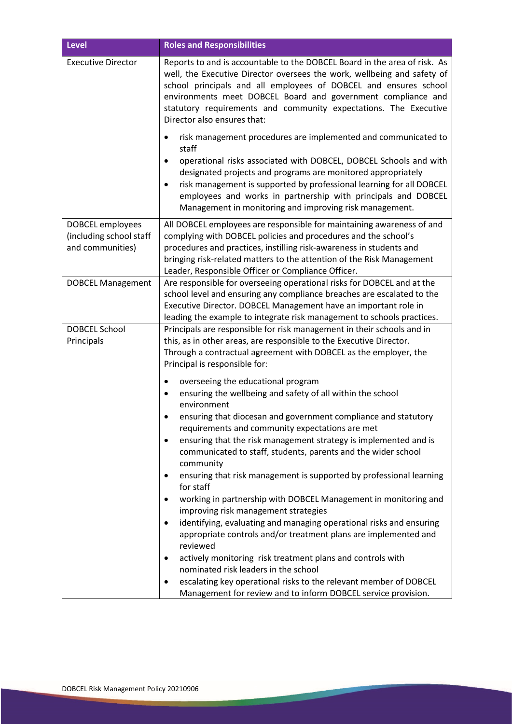| <b>Level</b>                                                    | <b>Roles and Responsibilities</b>                                                                                                                                                                                                                                                                                                                                                                                                                                                                                                                                                                                                                                                                                                                                                                                                                                                                                                                                                                                                                                                                                                                                  |
|-----------------------------------------------------------------|--------------------------------------------------------------------------------------------------------------------------------------------------------------------------------------------------------------------------------------------------------------------------------------------------------------------------------------------------------------------------------------------------------------------------------------------------------------------------------------------------------------------------------------------------------------------------------------------------------------------------------------------------------------------------------------------------------------------------------------------------------------------------------------------------------------------------------------------------------------------------------------------------------------------------------------------------------------------------------------------------------------------------------------------------------------------------------------------------------------------------------------------------------------------|
| <b>Executive Director</b>                                       | Reports to and is accountable to the DOBCEL Board in the area of risk. As<br>well, the Executive Director oversees the work, wellbeing and safety of<br>school principals and all employees of DOBCEL and ensures school<br>environments meet DOBCEL Board and government compliance and<br>statutory requirements and community expectations. The Executive<br>Director also ensures that:                                                                                                                                                                                                                                                                                                                                                                                                                                                                                                                                                                                                                                                                                                                                                                        |
|                                                                 | risk management procedures are implemented and communicated to<br>٠<br>staff<br>operational risks associated with DOBCEL, DOBCEL Schools and with<br>$\bullet$<br>designated projects and programs are monitored appropriately<br>risk management is supported by professional learning for all DOBCEL<br>$\bullet$<br>employees and works in partnership with principals and DOBCEL<br>Management in monitoring and improving risk management.                                                                                                                                                                                                                                                                                                                                                                                                                                                                                                                                                                                                                                                                                                                    |
| DOBCEL employees<br>(including school staff<br>and communities) | All DOBCEL employees are responsible for maintaining awareness of and<br>complying with DOBCEL policies and procedures and the school's<br>procedures and practices, instilling risk-awareness in students and<br>bringing risk-related matters to the attention of the Risk Management<br>Leader, Responsible Officer or Compliance Officer.                                                                                                                                                                                                                                                                                                                                                                                                                                                                                                                                                                                                                                                                                                                                                                                                                      |
| <b>DOBCEL Management</b>                                        | Are responsible for overseeing operational risks for DOBCEL and at the<br>school level and ensuring any compliance breaches are escalated to the<br>Executive Director. DOBCEL Management have an important role in<br>leading the example to integrate risk management to schools practices.                                                                                                                                                                                                                                                                                                                                                                                                                                                                                                                                                                                                                                                                                                                                                                                                                                                                      |
| <b>DOBCEL School</b><br>Principals                              | Principals are responsible for risk management in their schools and in<br>this, as in other areas, are responsible to the Executive Director.<br>Through a contractual agreement with DOBCEL as the employer, the<br>Principal is responsible for:<br>overseeing the educational program<br>$\bullet$<br>ensuring the wellbeing and safety of all within the school<br>environment<br>ensuring that diocesan and government compliance and statutory<br>$\bullet$<br>requirements and community expectations are met<br>ensuring that the risk management strategy is implemented and is<br>٠<br>communicated to staff, students, parents and the wider school<br>community<br>ensuring that risk management is supported by professional learning<br>٠<br>for staff<br>working in partnership with DOBCEL Management in monitoring and<br>$\bullet$<br>improving risk management strategies<br>identifying, evaluating and managing operational risks and ensuring<br>٠<br>appropriate controls and/or treatment plans are implemented and<br>reviewed<br>actively monitoring risk treatment plans and controls with<br>٠<br>nominated risk leaders in the school |
|                                                                 | escalating key operational risks to the relevant member of DOBCEL<br>$\bullet$<br>Management for review and to inform DOBCEL service provision.                                                                                                                                                                                                                                                                                                                                                                                                                                                                                                                                                                                                                                                                                                                                                                                                                                                                                                                                                                                                                    |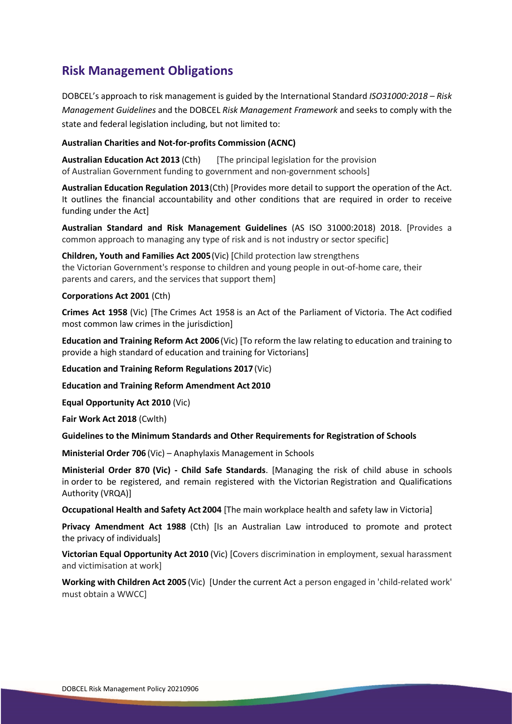## **Risk Management Obligations**

DOBCEL's approach to risk management is guided by the International Standard *ISO31000:2018 – Risk Management Guidelines* and the DOBCEL *Risk Management Framework* and seeks to comply with the state and federal legislation including, but not limited to:

#### **Australian Charities and Not-for-profits Commission (ACNC)**

**Australian Education Act 2013** (Cth) [The principal legislation for the provision of Australian Government funding to government and non-government schools]

**Australian Education Regulation 2013**(Cth) [Provides more detail to support the operation of the Act. It outlines the financial accountability and other conditions that are required in order to receive funding under the Act]

**Australian Standard and Risk Management Guidelines** (AS ISO 31000:2018) 2018. [Provides a common approach to managing any type of risk and is not industry or sector specific]

**Children, Youth and Families Act 2005**(Vic) [Child protection law strengthens the Victorian Government's response to children and young people in out-of-home care, their parents and carers, and the services that support them]

#### **Corporations Act 2001** (Cth)

**Crimes Act 1958** (Vic) [The Crimes Act 1958 is an Act of the Parliament of Victoria. The Act codified most common law crimes in the jurisdiction]

**Education and Training Reform Act 2006** (Vic) [To reform the law relating to education and training to provide a high standard of education and training for Victorians]

**Education and Training Reform Regulations 2017** (Vic)

**Education and Training Reform Amendment Act 2010**

**Equal Opportunity Act 2010** (Vic)

**Fair Work Act 2018** (Cwlth)

**Guidelines to the Minimum Standards and Other Requirements for Registration of Schools** 

**Ministerial Order 706** (Vic) – Anaphylaxis Management in Schools

**Ministerial Order 870 (Vic) - Child Safe Standards**. [Managing the risk of child abuse in schools in order to be registered, and remain registered with the Victorian Registration and Qualifications Authority (VRQA)]

**Occupational Health and Safety Act 2004** [The main workplace health and safety law in Victoria]

**Privacy Amendment Act 1988** (Cth) [Is an Australian Law introduced to promote and protect the privacy of individuals]

**Victorian Equal Opportunity Act 2010** (Vic) [Covers discrimination in employment, sexual harassment and victimisation at work]

**Working with Children Act 2005** (Vic) [Under the current Act a person engaged in 'child-related work' must obtain a WWCC]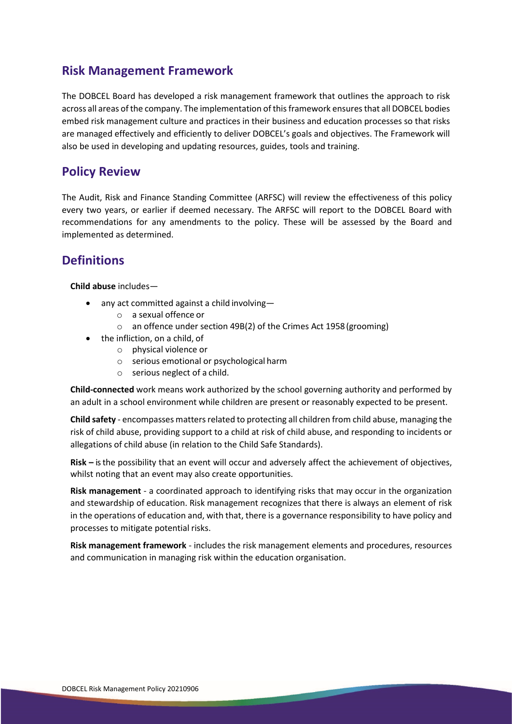### **Risk Management Framework**

The DOBCEL Board has developed a risk management framework that outlines the approach to risk across all areas of the company. The implementation of this framework ensures that all DOBCEL bodies embed risk management culture and practices in their business and education processes so that risks are managed effectively and efficiently to deliver DOBCEL's goals and objectives. The Framework will also be used in developing and updating resources, guides, tools and training.

### **Policy Review**

The Audit, Risk and Finance Standing Committee (ARFSC) will review the effectiveness of this policy every two years, or earlier if deemed necessary. The ARFSC will report to the DOBCEL Board with recommendations for any amendments to the policy. These will be assessed by the Board and implemented as determined.

## **Definitions**

**Child abuse** includes—

- any act committed against a child involving
	- o a sexual offence or
	- o an offence under section 49B(2) of the Crimes Act 1958(grooming)
- the infliction, on a child, of
	- o physical violence or
	- o serious emotional or psychological harm
	- o serious neglect of a child.

**Child-connected** work means work authorized by the school governing authority and performed by an adult in a school environment while children are present or reasonably expected to be present.

**Child safety** - encompasses matters related to protecting all children from child abuse, managing the risk of child abuse, providing support to a child at risk of child abuse, and responding to incidents or allegations of child abuse (in relation to the Child Safe Standards).

**Risk –** is the possibility that an event will occur and adversely affect the achievement of objectives, whilst noting that an event may also create opportunities.

**Risk management** - a coordinated approach to identifying risks that may occur in the organization and stewardship of education. Risk management recognizes that there is always an element of risk in the operations of education and, with that, there is a governance responsibility to have policy and processes to mitigate potential risks.

**Risk management framework** - includes the risk management elements and procedures, resources and communication in managing risk within the education organisation.